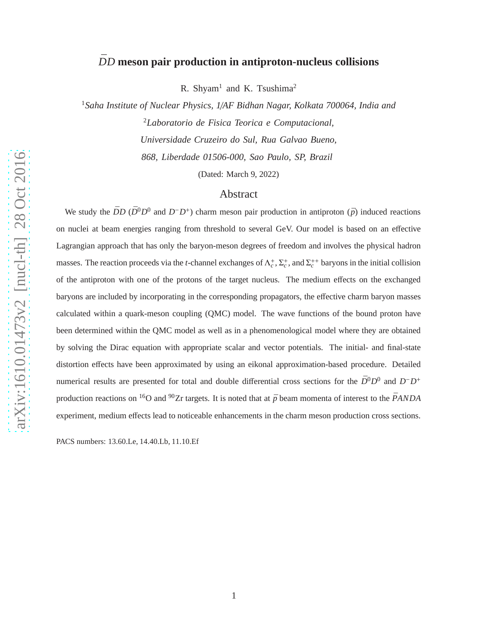# $\bar{D}D$  meson pair production in antiproton-nucleus collisions

R. Shyam<sup>1</sup> and K. Tsushima<sup>2</sup>

<sup>1</sup>*Saha Institute of Nuclear Physics, 1*/*AF Bidhan Nagar, Kolkata 700064, India and* <sup>2</sup>*Laboratorio de Fisica Teorica e Computacional, Universidade Cruzeiro do Sul, Rua Galvao Bueno, 868, Liberdade 01506-000, Sao Paulo, SP, Brazil*

(Dated: March 9, 2022)

## Abstract

We study the  $\bar{D}D$  ( $\bar{D}^0D^0$  and  $D^-D^+$ ) charm meson pair production in antiproton ( $\bar{p}$ ) induced reactions on nuclei at beam energies ranging from threshold to several GeV. Our model is based on an effective Lagrangian approach that has only the baryon-meson degrees of freedom and involves the physical hadron masses. The reaction proceeds via the *t*-channel exchanges of  $\Lambda_c^+$ ,  $\Sigma_c^+$ , and  $\Sigma_c^{++}$  baryons in the initial collision of the antiproton with one of the protons of the target nucleus. The medium effects on the exchanged baryons are included by incorporating in the corresponding propagators, the effective charm baryon masses calculated within a quark-meson coupling (QMC) model. The wave functions of the bound proton have been determined within the QMC model as well as in a phenomenological model where they are obtained by solving the Dirac equation with appropriate scalar and vector potentials. The initial- and final-state distortion effects have been approximated by using an eikonal approximation-based procedure. Detailed numerical results are presented for total and double differential cross sections for the  $\bar{D}^0 D^0$  and  $D^- D^+$ production reactions on <sup>16</sup>O and <sup>90</sup>Zr targets. It is noted that at  $\bar{p}$  beam momenta of interest to the  $\bar{P}ANDA$ experiment, medium effects lead to noticeable enhancements in the charm meson production cross sections.

PACS numbers: 13.60.Le, 14.40.Lb, 11.10.Ef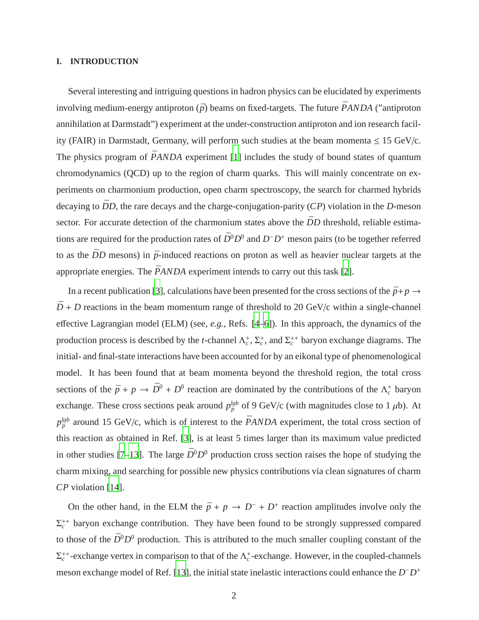#### **I. INTRODUCTION**

Several interesting and intriguing questions in hadron physics can be elucidated by experiments involving medium-energy antiproton  $(\bar{p})$  beams on fixed-targets. The future  $\bar{P}ANDA$  ("antiproton" annihilation at Darmstadt") experiment at the under-construction antiproton and ion research facility (FAIR) in Darmstadt, Germany, will perform such studies at the beam momenta  $\leq 15$  GeV/c. The physics program of  $\bar{P}ANDA$  experiment [\[1\]](#page-20-0) includes the study of bound states of quantum chromodynamics (QCD) up to the region of charm quarks. This will mainly concentrate on experiments on charmonium production, open charm spectroscopy, the search for charmed hybrids decaying to  $\bar{D}D$ , the rare decays and the charge-conjugation-parity (*CP*) violation in the *D*-meson sector. For accurate detection of the charmonium states above the  $\bar{D}D$  threshold, reliable estimations are required for the production rates of  $\bar{D}^0 D^0$  and  $D^- D^+$  meson pairs (to be together referred to as the  $\bar{D}D$  mesons) in  $\bar{p}$ -induced reactions on proton as well as heavier nuclear targets at the appropriate energies. The  $\overline{PANDA}$  experiment intends to carry out this task [\[2\]](#page-20-1).

In a recent publication [\[3\]](#page-20-2), calculations have been presented for the cross sections of the  $\bar{p}+p \rightarrow$  $\bar{D}$  + *D* reactions in the beam momentum range of threshold to 20 GeV/c within a single-channel effective Lagrangian model (ELM) (see, *e.g.*, Refs. [\[4](#page-20-3)[–6\]](#page-20-4)). In this approach, the dynamics of the production process is described by the *t*-channel  $\Lambda_c^+$ ,  $\Sigma_c^+$ , and  $\Sigma_c^{++}$  baryon exchange diagrams. The initial- and final-state interactions have been accounted for by an eikonal type of phenomenological model. It has been found that at beam momenta beyond the threshold region, the total cross sections of the  $\bar{p} + p \rightarrow \bar{D}^0 + D^0$  reaction are dominated by the contributions of the  $\Lambda_c^+$  baryon exchange. These cross sections peak around  $p_{\bar{p}}^{lab}$  of 9 GeV/c (with magnitudes close to 1  $\mu$ b). At  $p_{\bar{p}}^{lab}$  around 15 GeV/c, which is of interest to the *PANDA* experiment, the total cross section of this reaction as obtained in Ref. [\[3](#page-20-2)], is at least 5 times larger than its maximum value predicted in other studies [\[7](#page-20-5)[–13](#page-20-6)]. The large  $\bar{D}^0 D^0$  production cross section raises the hope of studying the charm mixing, and searching for possible new physics contributions via clean signatures of charm *CP* violation [\[14](#page-20-7)].

On the other hand, in the ELM the  $\bar{p} + p \rightarrow D^- + D^+$  reaction amplitudes involve only the  $\Sigma_c^{++}$  baryon exchange contribution. They have been found to be strongly suppressed compared to those of the  $\bar{D}^0 D^0$  production. This is attributed to the much smaller coupling constant of the  $\Sigma_c^{++}$ -exchange vertex in comparison to that of the  $\Lambda_c^+$ -exchange. However, in the coupled-channels meson exchange model of Ref. [\[13\]](#page-20-6), the initial state inelastic interactions could enhance the *D*<sup>−</sup>*D*<sup>+</sup>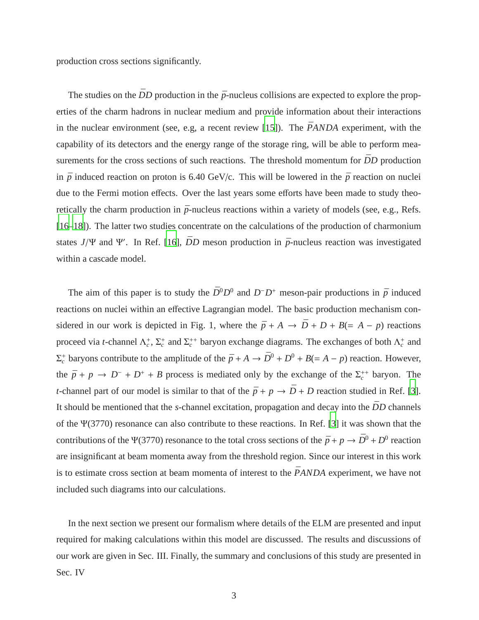production cross sections significantly.

The studies on the  $\bar{D}D$  production in the  $\bar{p}$ -nucleus collisions are expected to explore the properties of the charm hadrons in nuclear medium and provide information about their interactions in the nuclear environment (see, e.g, a recent review  $[15]$ ). The *PANDA* experiment, with the capability of its detectors and the energy range of the storage ring, will be able to perform measurements for the cross sections of such reactions. The threshold momentum for  $\bar{D}D$  production in  $\bar{p}$  induced reaction on proton is 6.40 GeV/c. This will be lowered in the  $\bar{p}$  reaction on nuclei due to the Fermi motion effects. Over the last years some efforts have been made to study theoretically the charm production in  $\bar{p}$ -nucleus reactions within a variety of models (see, e.g., Refs.) [\[16](#page-20-9)[–18\]](#page-20-10)). The latter two studies concentrate on the calculations of the production of charmonium states  $J/\Psi$  and  $\Psi'$ . In Ref. [\[16\]](#page-20-9),  $\bar{D}D$  meson production in  $\bar{p}$ -nucleus reaction was investigated within a cascade model.

The aim of this paper is to study the  $\bar{D}^0 D^0$  and  $D^- D^+$  meson-pair productions in  $\bar{p}$  induced reactions on nuclei within an effective Lagrangian model. The basic production mechanism considered in our work is depicted in Fig. 1, where the  $\bar{p} + A \rightarrow \bar{D} + D + B (= A - p)$  reactions proceed via *t*-channel  $\Lambda_c^+$ ,  $\Sigma_c^+$  and  $\Sigma_c^{++}$  baryon exchange diagrams. The exchanges of both  $\Lambda_c^+$  and  $\Sigma_c^+$  baryons contribute to the amplitude of the  $\bar{p} + A \to \bar{D}^0 + D^0 + B (= A - p)$  reaction. However, the  $\bar{p} + p \rightarrow D^- + D^+ + B$  process is mediated only by the exchange of the  $\Sigma_c^{++}$  baryon. The *t*-channel part of our model is similar to that of the  $\bar{p} + p \rightarrow \bar{D} + D$  reaction studied in Ref. [\[3](#page-20-2)]. It should be mentioned that the *s*-channel excitation, propagation and decay into the  $\bar{D}D$  channels of the Ψ(3770) resonance can also contribute to these reactions. In Ref. [\[3](#page-20-2)] it was shown that the contributions of the Ψ(3770) resonance to the total cross sections of the  $\bar{p} + p \to \bar{D}^0 + D^0$  reaction are insignificant at beam momenta away from the threshold region. Since our interest in this work is to estimate cross section at beam momenta of interest to the  $\bar{P}ANDA$  experiment, we have not included such diagrams into our calculations.

In the next section we present our formalism where details of the ELM are presented and input required for making calculations within this model are discussed. The results and discussions of our work are given in Sec. III. Finally, the summary and conclusions of this study are presented in Sec. IV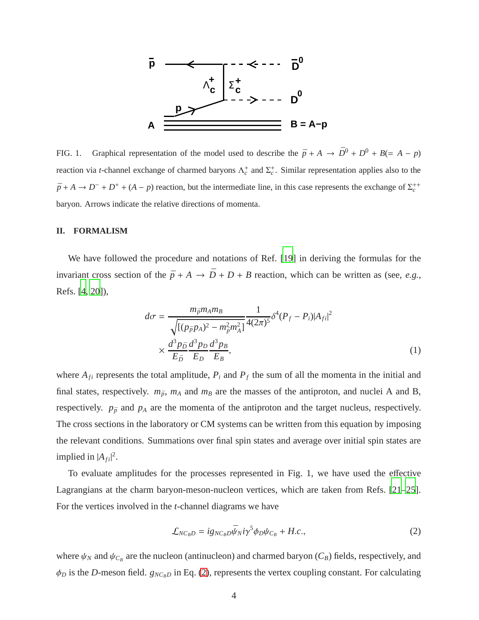

FIG. 1. Graphical representation of the model used to describe the  $\bar{p} + A \rightarrow \bar{D}^0 + D^0 + B (= A - p)$ reaction via *t*-channel exchange of charmed baryons  $\Lambda_c^+$  and  $\Sigma_c^+$ . Similar representation applies also to the  $\bar{p}$  + *A* → *D*<sup>-</sup> + *D*<sup>+</sup> + (*A* − *p*) reaction, but the intermediate line, in this case represents the exchange of  $\Sigma_c^{++}$ baryon. Arrows indicate the relative directions of momenta.

#### **II. FORMALISM**

We have followed the procedure and notations of Ref. [\[19\]](#page-20-11) in deriving the formulas for the invariant cross section of the  $\bar{p} + A \rightarrow \bar{D} + D + B$  reaction, which can be written as (see, *e.g.*, Refs. [\[4,](#page-20-3) [20\]](#page-20-12)),

$$
d\sigma = \frac{m_{\bar{p}}m_A m_B}{\sqrt{[(p_{\bar{p}}p_A)^2 - m_{\bar{p}}^2 m_A^2]}} \frac{1}{4(2\pi)^5} \delta^4 (P_f - P_i) |A_{fi}|^2
$$
  
 
$$
\times \frac{d^3 p_{\bar{D}}}{E_{\bar{D}}} \frac{d^3 p_D}{E_D} \frac{d^3 p_B}{E_B},
$$
 (1)

where  $A_{fi}$  represents the total amplitude,  $P_i$  and  $P_f$  the sum of all the momenta in the initial and final states, respectively.  $m_{\bar{p}}$ ,  $m_A$  and  $m_B$  are the masses of the antiproton, and nuclei A and B, respectively.  $p_{\bar{p}}$  and  $p_A$  are the momenta of the antiproton and the target nucleus, respectively. The cross sections in the laboratory or CM systems can be written from this equation by imposing the relevant conditions. Summations over final spin states and average over initial spin states are implied in  $|A_{fi}|^2$ .

To evaluate amplitudes for the processes represented in Fig. 1, we have used the effective Lagrangians at the charm baryon-meson-nucleon vertices, which are taken from Refs. [\[21](#page-20-13)[–25](#page-20-14)]. For the vertices involved in the *t*-channel diagrams we have

<span id="page-3-0"></span>
$$
\mathcal{L}_{NC_B D} = i g_{NC_B D} \bar{\psi}_N i \gamma^5 \phi_D \psi_{C_B} + H.c., \qquad (2)
$$

where  $\psi_N$  and  $\psi_{C_B}$  are the nucleon (antinucleon) and charmed baryon  $(C_B)$  fields, respectively, and  $\phi_D$  is the *D*-meson field.  $g_{NC_B}$ *D* in Eq. [\(2\)](#page-3-0), represents the vertex coupling constant. For calculating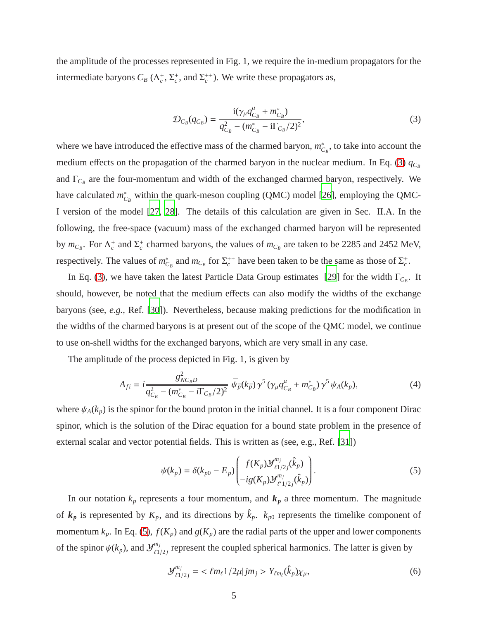the amplitude of the processes represented in Fig. 1, we require the in-medium propagators for the intermediate baryons  $C_B(\Lambda_c^+, \Sigma_c^+, \text{ and } \Sigma_c^{++})$ . We write these propagators as,

<span id="page-4-0"></span>
$$
\mathcal{D}_{C_B}(q_{C_B}) = \frac{\mathrm{i}(\gamma_\mu q_{C_B}^\mu + m_{C_B}^*)}{q_{C_B}^2 - (m_{C_B}^* - \mathrm{i}\Gamma_{C_B}/2)^2},\tag{3}
$$

where we have introduced the effective mass of the charmed baryon,  $m_{C_B}^*$ , to take into account the medium effects on the propagation of the charmed baryon in the nuclear medium. In Eq. [\(3\)](#page-4-0)  $q_{C_B}$ and  $\Gamma_{C_B}$  are the four-momentum and width of the exchanged charmed baryon, respectively. We have calculated  $m_{C_B}^*$  within the quark-meson coupling (QMC) model [\[26\]](#page-20-15), employing the QMC-I version of the model [\[27,](#page-21-0) [28](#page-21-1)]. The details of this calculation are given in Sec. II.A. In the following, the free-space (vacuum) mass of the exchanged charmed baryon will be represented by  $m_{C_B}$ . For  $\Lambda_c^+$  and  $\Sigma_c^+$  charmed baryons, the values of  $m_{C_B}$  are taken to be 2285 and 2452 MeV, respectively. The values of  $m_{C_B}^*$  and  $m_{C_B}$  for  $\Sigma_c^{++}$  have been taken to be the same as those of  $\Sigma_c^+$ .

In Eq. [\(3\)](#page-4-0), we have taken the latest Particle Data Group estimates [\[29\]](#page-21-2) for the width  $\Gamma_{C_B}$ . It should, however, be noted that the medium effects can also modify the widths of the exchange baryons (see, *e.g.*, Ref. [\[30](#page-21-3)]). Nevertheless, because making predictions for the modification in the widths of the charmed baryons is at present out of the scope of the QMC model, we continue to use on-shell widths for the exchanged baryons, which are very small in any case.

The amplitude of the process depicted in Fig. 1, is given by

<span id="page-4-2"></span>
$$
A_{fi} = i \frac{g_{NC_B D}^2}{q_{C_B}^2 - (m_{C_B}^* - i\Gamma_{C_B}/2)^2} \bar{\psi}_{\bar{p}}(k_{\bar{p}}) \gamma^5 (\gamma_\mu q_{C_B}^\mu + m_{C_B}^*) \gamma^5 \psi_A(k_p), \qquad (4)
$$

where  $\psi_A(k_p)$  is the spinor for the bound proton in the initial channel. It is a four component Dirac spinor, which is the solution of the Dirac equation for a bound state problem in the presence of external scalar and vector potential fields. This is written as (see, e.g., Ref. [\[31](#page-21-4)])

<span id="page-4-1"></span>
$$
\psi(k_p) = \delta(k_{p0} - E_p) \begin{pmatrix} f(K_p) \mathcal{Y}_{\ell_1/2j}^{m_j}(\hat{k}_p) \\ -ig(K_p) \mathcal{Y}_{\ell_1/2j}^{m_j}(\hat{k}_p) \end{pmatrix} . \tag{5}
$$

In our notation  $k_p$  represents a four momentum, and  $k_p$  a three momentum. The magnitude of  $k_p$  is represented by  $K_p$ , and its directions by  $\hat{k}_p$ .  $k_{p0}$  represents the timelike component of momentum  $k_p$ . In Eq. [\(5\)](#page-4-1),  $f(K_p)$  and  $g(K_p)$  are the radial parts of the upper and lower components of the spinor  $\psi(k_p)$ , and  $\mathcal{Y}_{\ell_1}^{m_j}$  $\binom{m_j}{\ell 1/2j}$  represent the coupled spherical harmonics. The latter is given by

$$
\mathcal{Y}^{m_j}_{\ell 1/2j} = \langle \ell m_{\ell} 1/2\mu | j m_j \rangle Y_{\ell m_{\ell}}(\hat{k}_p) \chi_{\mu}, \tag{6}
$$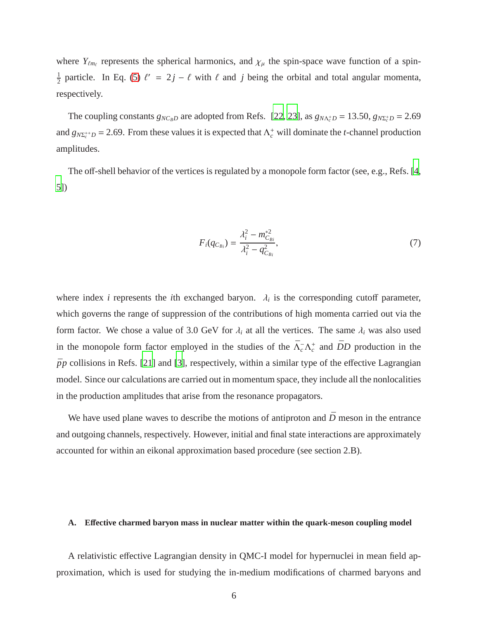where  $Y_{\ell m_{\ell}}$  represents the spherical harmonics, and  $\chi_{\mu}$  the spin-space wave function of a spin-1  $\frac{1}{2}$  particle. In Eq. [\(5\)](#page-4-1)  $\ell' = 2j - \ell$  with  $\ell$  and  $j$  being the orbital and total angular momenta, respectively.

The coupling constants  $g_{NC_B D}$  are adopted from Refs. [\[22](#page-20-16), [23\]](#page-20-17), as  $g_{N\Lambda_c^+D} = 13.50$ ,  $g_{N\Sigma_c^+D} = 2.69$ and  $g_{N\Sigma_c^{+}}$  = 2.69. From these values it is expected that  $\Lambda_c^+$  will dominate the *t*-channel production amplitudes.

The off-shell behavior of the vertices is regulated by a monopole form factor (see, e.g., Refs. [\[4](#page-20-3), [5\]](#page-20-18))

$$
F_i(q_{C_{Bi}}) = \frac{\lambda_i^2 - m_{C_{Bi}}^{*2}}{\lambda_i^2 - q_{C_{Bi}}^2},
$$
\n(7)

where index *i* represents the *i*th exchanged baryon.  $\lambda_i$  is the corresponding cutoff parameter, which governs the range of suppression of the contributions of high momenta carried out via the form factor. We chose a value of 3.0 GeV for  $\lambda_i$  at all the vertices. The same  $\lambda_i$  was also used in the monopole form factor employed in the studies of the  $\bar{\Lambda}_c^-\Lambda_c^+$  and  $\bar{D}D$  production in the  $\bar{p}p$  collisions in Refs. [\[21\]](#page-20-13) and [\[3\]](#page-20-2), respectively, within a similar type of the effective Lagrangian model. Since our calculations are carried out in momentum space, they include all the nonlocalities in the production amplitudes that arise from the resonance propagators.

We have used plane waves to describe the motions of antiproton and  $\bar{D}$  meson in the entrance and outgoing channels, respectively. However, initial and final state interactions are approximately accounted for within an eikonal approximation based procedure (see section 2.B).

### **A. E**ff**ective charmed baryon mass in nuclear matter within the quark-meson coupling model**

A relativistic effective Lagrangian density in QMC-I model for hypernuclei in mean field approximation, which is used for studying the in-medium modifications of charmed baryons and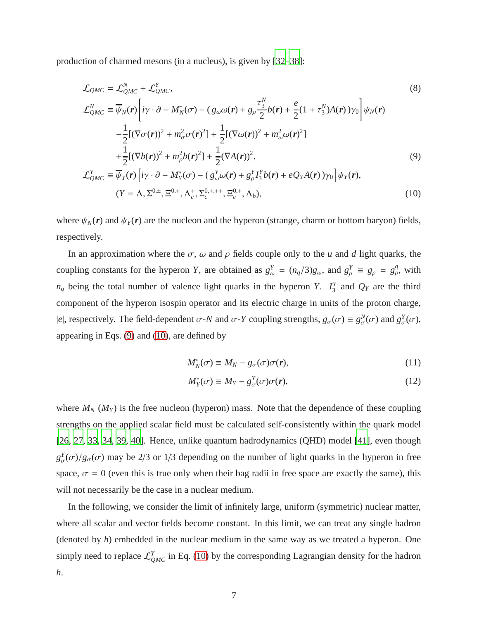production of charmed mesons (in a nucleus), is given by [\[32](#page-21-5)[–38\]](#page-21-6):

<span id="page-6-0"></span>
$$
\mathcal{L}_{QMC} = \mathcal{L}_{QMC}^{N} + \mathcal{L}_{QMC}^{Y},
$$
\n
$$
\mathcal{L}_{QMC}^{N} = \overline{\psi}_{N}(\mathbf{r}) \left[ i\mathbf{y} \cdot \partial - M_{N}^{*}(\sigma) - (g_{\omega}\omega(\mathbf{r}) + g_{\rho} \frac{\tau_{3}^{N}}{2} b(\mathbf{r}) + \frac{e}{2} (1 + \tau_{3}^{N}) A(\mathbf{r}) \gamma_{0} \right] \psi_{N}(\mathbf{r})
$$
\n
$$
- \frac{1}{2} [(\nabla \sigma(\mathbf{r}))^{2} + m_{\sigma}^{2} \sigma(\mathbf{r})^{2}] + \frac{1}{2} [(\nabla \omega(\mathbf{r}))^{2} + m_{\omega}^{2} \omega(\mathbf{r})^{2}]
$$
\n
$$
+ \frac{1}{2} [(\nabla b(\mathbf{r}))^{2} + m_{\rho}^{2} b(\mathbf{r})^{2}] + \frac{1}{2} (\nabla A(\mathbf{r}))^{2},
$$
\n
$$
\mathcal{L}_{QMC}^{Y} \equiv \overline{\psi}_{Y}(\mathbf{r}) \left[ i\mathbf{y} \cdot \partial - M_{Y}^{*}(\sigma) - (g_{\omega}^{Y} \omega(\mathbf{r}) + g_{\rho}^{Y} I_{3}^{Y} b(\mathbf{r}) + eQ_{Y} A(\mathbf{r}) \gamma_{0} \right] \psi_{Y}(\mathbf{r}),
$$
\n(9)

$$
(Y = \Lambda, \Sigma^{0,\pm}, \Xi^{0,\pm}, \Lambda_c^+, \Sigma_c^{0,\pm,++}, \Xi_c^{0,\pm}, \Lambda_b),
$$
\n(10)

where  $\psi_N(\mathbf{r})$  and  $\psi_Y(\mathbf{r})$  are the nucleon and the hyperon (strange, charm or bottom baryon) fields, respectively.

In an approximation where the  $\sigma$ ,  $\omega$  and  $\rho$  fields couple only to the *u* and *d* light quarks, the coupling constants for the hyperon *Y*, are obtained as  $g_{\omega}^Y = (n_q/3)g_{\omega}$ , and  $g_{\rho}^Y = g_{\rho} = g_{\rho}^q$ , with  $n_q$  being the total number of valence light quarks in the hyperon *Y*.  $I_3^Y$  $Q_Y$  are the third component of the hyperon isospin operator and its electric charge in units of the proton charge,  $|e|$ , respectively. The field-dependent  $\sigma$ -*N* and  $\sigma$ -*Y* coupling strengths,  $g_{\sigma}(\sigma) \equiv g_{\sigma}^{N}(\sigma)$  and  $g_{\sigma}^{Y}(\sigma)$ , appearing in Eqs. [\(9\)](#page-6-0) and [\(10\)](#page-6-0), are defined by

$$
M_N^*(\sigma) \equiv M_N - g_{\sigma}(\sigma)\sigma(r), \qquad (11)
$$

$$
M_Y^*(\sigma) \equiv M_Y - g_{\sigma}^Y(\sigma)\sigma(r), \qquad (12)
$$

where  $M_N$  ( $M_Y$ ) is the free nucleon (hyperon) mass. Note that the dependence of these coupling strengths on the applied scalar field must be calculated self-consistently within the quark model [\[26,](#page-20-15) [27](#page-21-0), [33,](#page-21-7) [34,](#page-21-8) [39](#page-21-9), [40](#page-21-10)]. Hence, unlike quantum hadrodynamics (QHD) model [\[41](#page-21-11)], even though  $g^Y_{\sigma}(\sigma)/g_{\sigma}(\sigma)$  may be 2/3 or 1/3 depending on the number of light quarks in the hyperon in free space,  $\sigma = 0$  (even this is true only when their bag radii in free space are exactly the same), this will not necessarily be the case in a nuclear medium.

In the following, we consider the limit of infinitely large, uniform (symmetric) nuclear matter, where all scalar and vector fields become constant. In this limit, we can treat any single hadron (denoted by *h*) embedded in the nuclear medium in the same way as we treated a hyperon. One simply need to replace  $\mathcal{L}_{QMC}^Y$  in Eq. [\(10\)](#page-6-0) by the corresponding Lagrangian density for the hadron *h*.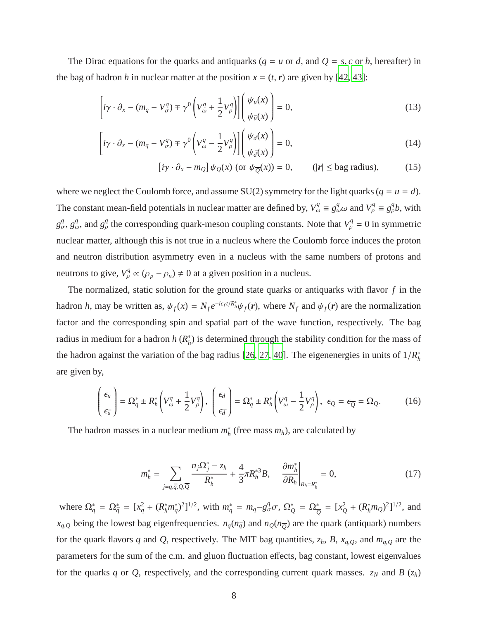The Dirac equations for the quarks and antiquarks ( $q = u$  or *d*, and  $Q = s$ , *c* or *b*, hereafter) in the bag of hadron *h* in nuclear matter at the position  $x = (t, r)$  are given by [\[42](#page-21-12), [43](#page-21-13)]:

$$
\left[i\gamma \cdot \partial_x - (m_q - V^q_{\sigma}) \mp \gamma^0 \left(V^q_{\omega} + \frac{1}{2} V^q_{\rho}\right)\right] \left(\frac{\psi_u(x)}{\psi_{\bar{u}}(x)}\right) = 0, \tag{13}
$$

$$
\left[i\gamma \cdot \partial_x - (m_q - V^q_{\sigma}) \mp \gamma^0 \left(V^q_{\omega} - \frac{1}{2}V^q_{\rho}\right)\right] \begin{pmatrix} \psi_d(x) \\ \psi_{\bar{d}}(x) \end{pmatrix} = 0, \tag{14}
$$

$$
[i\gamma \cdot \partial_x - m_Q] \psi_Q(x) \text{ (or } \psi_{\overline{Q}}(x)) = 0, \qquad (|r| \leq \text{bag radius}), \tag{15}
$$

where we neglect the Coulomb force, and assume  $SU(2)$  symmetry for the light quarks ( $q = u = d$ ). The constant mean-field potentials in nuclear matter are defined by,  $V_\omega^q \equiv g_\omega^q \omega$  and  $V_\rho^q \equiv g_\rho^q b$ , with  $g^q_\sigma$ ,  $g^q_\omega$ , and  $g^q_\rho$  the corresponding quark-meson coupling constants. Note that  $V^q_\rho = 0$  in symmetric nuclear matter, although this is not true in a nucleus where the Coulomb force induces the proton and neutron distribution asymmetry even in a nucleus with the same numbers of protons and neutrons to give,  $V^q_\rho \propto (\rho_p - \rho_n) \neq 0$  at a given position in a nucleus.

The normalized, static solution for the ground state quarks or antiquarks with flavor *f* in the hadron *h*, may be written as,  $\psi_f(x) = N_f e^{-i\epsilon_f t/R_h^*} \psi_f(r)$ , where  $N_f$  and  $\psi_f(r)$  are the normalization factor and the corresponding spin and spatial part of the wave function, respectively. The bag radius in medium for a hadron *h* ( $R_h^*$ ) is determined through the stability condition for the mass of the hadron against the variation of the bag radius [\[26,](#page-20-15) [27,](#page-21-0) [40\]](#page-21-10). The eigenenergies in units of  $1/R<sub>h</sub><sup>*</sup>$ are given by,

$$
\begin{pmatrix} \epsilon_u \\ \epsilon_{\bar{u}} \end{pmatrix} = \Omega_q^* \pm R_h^* \left( V_\omega^q + \frac{1}{2} V_\rho^q \right), \quad \begin{pmatrix} \epsilon_d \\ \epsilon_{\bar{d}} \end{pmatrix} = \Omega_q^* \pm R_h^* \left( V_\omega^q - \frac{1}{2} V_\rho^q \right), \quad \epsilon_Q = \epsilon_{\overline{Q}} = \Omega_Q. \tag{16}
$$

The hadron masses in a nuclear medium  $m_h^*$  (free mass  $m_h$ ), are calculated by

$$
m_h^* = \sum_{j=q,\bar{q},Q,\overline{Q}} \frac{n_j \Omega_j^* - z_h}{R_h^*} + \frac{4}{3} \pi R_h^{*3} B, \quad \left. \frac{\partial m_h^*}{\partial R_h} \right|_{R_h = R_h^*} = 0, \tag{17}
$$

where  $\Omega_q^* = \Omega_{\bar{q}}^* = [x_q^2 + (R_h^* m_q^*)^2]^{1/2}$ , with  $m_q^* = m_q - g_\sigma^q \sigma$ ,  $\Omega_Q^* = \Omega_{\bar{Q}}^* = [x_Q^2 + (R_h^* m_Q)^2]^{1/2}$ , and  $x_{q,Q}$  being the lowest bag eigenfrequencies.  $n_q(n_{\bar{q}})$  and  $n_Q(n_{\overline{Q}})$  are the quark (antiquark) numbers for the quark flavors *q* and *Q*, respectively. The MIT bag quantities,  $z_h$ , *B*,  $x_{q,Q}$ , and  $m_{q,Q}$  are the parameters for the sum of the c.m. and gluon fluctuation effects, bag constant, lowest eigenvalues for the quarks *q* or *Q*, respectively, and the corresponding current quark masses.  $z_N$  and *B* ( $z_h$ )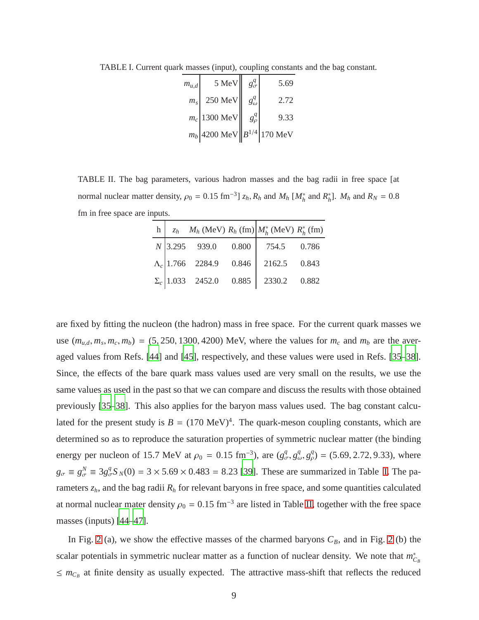<span id="page-8-0"></span>TABLE I. Current quark masses (input), coupling constants and the bag constant.

| $m_{u,d}$ | 5 MeV                            | $g^q_{\sigma}$ | 5.69 |
|-----------|----------------------------------|----------------|------|
| $m_s$     | 250 MeV                          | $g_\omega^q$   | 2.72 |
|           | $m_c$ 1300 MeV                   | $g^q_\rho$     | 9.33 |
|           | $m_b$ 4200 MeV $B^{1/4}$ 170 MeV |                |      |

<span id="page-8-1"></span>TABLE II. The bag parameters, various hadron masses and the bag radii in free space [at normal nuclear matter density,  $\rho_0 = 0.15 \text{ fm}^{-3}$ ]  $z_h$ ,  $R_h$  and  $M_h$  [ $M_h^*$  and  $R_h^*$ ].  $M_h$  and  $R_N = 0.8$ fm in free space are inputs.

|  |  | h   $z_h$ $M_h$ (MeV) $R_h$ (fm) $M_h^*$ (MeV) $R_h^*$ (fm) |  |
|--|--|-------------------------------------------------------------|--|
|  |  | $N$ 3.295 939.0 0.800 754.5 0.786                           |  |
|  |  | $\Lambda_c$ 1.766 2284.9 0.846 2162.5 0.843                 |  |
|  |  | $\Sigma_c$ 1.033 2452.0 0.885 2330.2 0.882                  |  |

are fixed by fitting the nucleon (the hadron) mass in free space. For the current quark masses we use  $(m_{u,d}, m_s, m_c, m_b) = (5, 250, 1300, 4200)$  MeV, where the values for  $m_c$  and  $m_b$  are the averaged values from Refs. [\[44](#page-21-14)] and [\[45](#page-21-15)], respectively, and these values were used in Refs. [\[35](#page-21-16)[–38](#page-21-6)]. Since, the effects of the bare quark mass values used are very small on the results, we use the same values as used in the past so that we can compare and discuss the results with those obtained previously [\[35](#page-21-16)[–38\]](#page-21-6). This also applies for the baryon mass values used. The bag constant calculated for the present study is  $B = (170 \text{ MeV})^4$ . The quark-meson coupling constants, which are determined so as to reproduce the saturation properties of symmetric nuclear matter (the binding energy per nucleon of 15.7 MeV at  $\rho_0 = 0.15 \text{ fm}^{-3}$ , are  $(g_\sigma^q, g_\omega^q, g_\rho^q) = (5.69, 2.72, 9.33)$ , where  $g_{\sigma} \equiv g_{\sigma}^{N} \equiv 3g_{\sigma}^{q} S_{N}(0) = 3 \times 5.69 \times 0.483 = 8.23$  [\[39](#page-21-9)]. These are summarized in Table [I.](#page-8-0) The parameters  $z_h$ , and the bag radii  $R_h$  for relevant baryons in free space, and some quantities calculated at normal nuclear mater density  $\rho_0 = 0.15$  fm<sup>-3</sup> are listed in Table [II,](#page-8-1) together with the free space masses (inputs) [\[44](#page-21-14)[–47\]](#page-21-17).

In Fig. [2](#page-9-0) (a), we show the effective masses of the charmed baryons  $C_B$ , and in Fig. 2 (b) the scalar potentials in symmetric nuclear matter as a function of nuclear density. We note that  $m_{C_B}^*$  $\leq m_{C_B}$  at finite density as usually expected. The attractive mass-shift that reflects the reduced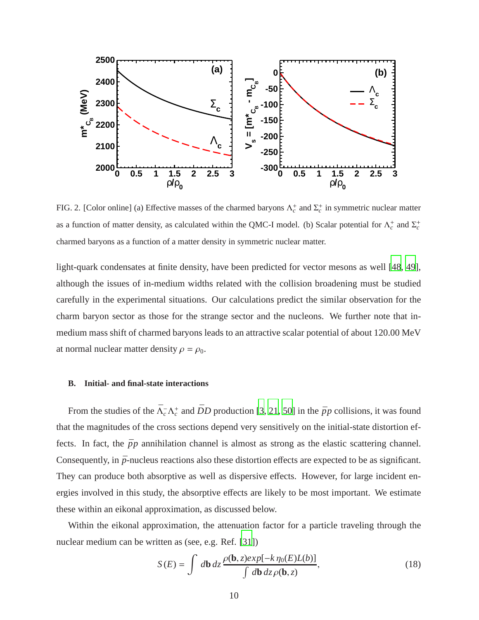

<span id="page-9-0"></span>FIG. 2. [Color online] (a) Effective masses of the charmed baryons  $\Lambda_c^+$  and  $\Sigma_c^+$  in symmetric nuclear matter as a function of matter density, as calculated within the QMC-I model. (b) Scalar potential for  $\Lambda_c^+$  and  $\Sigma_c^+$ charmed baryons as a function of a matter density in symmetric nuclear matter.

light-quark condensates at finite density, have been predicted for vector mesons as well [\[48,](#page-21-18) [49](#page-21-19)], although the issues of in-medium widths related with the collision broadening must be studied carefully in the experimental situations. Our calculations predict the similar observation for the charm baryon sector as those for the strange sector and the nucleons. We further note that inmedium mass shift of charmed baryons leads to an attractive scalar potential of about 120.00 MeV at normal nuclear matter density  $\rho = \rho_0$ .

### **B. Initial- and final-state interactions**

From the studies of the  $\bar{\Lambda}_c^-\Lambda_c^+$  and  $\bar{D}D$  production [\[3,](#page-20-2) [21,](#page-20-13) [50\]](#page-21-20) in the  $\bar{p}p$  collisions, it was found that the magnitudes of the cross sections depend very sensitively on the initial-state distortion effects. In fact, the  $\bar{p}p$  annihilation channel is almost as strong as the elastic scattering channel. Consequently, in  $\bar{p}$ -nucleus reactions also these distortion effects are expected to be as significant. They can produce both absorptive as well as dispersive effects. However, for large incident energies involved in this study, the absorptive effects are likely to be most important. We estimate these within an eikonal approximation, as discussed below.

Within the eikonal approximation, the attenuation factor for a particle traveling through the nuclear medium can be written as (see, e.g. Ref. [\[31](#page-21-4)])

<span id="page-9-1"></span>
$$
S(E) = \int d\mathbf{b} \, dz \frac{\rho(\mathbf{b}, z)exp[-k \eta_0(E)L(b)]}{\int d\mathbf{b} \, dz \rho(\mathbf{b}, z)},\tag{18}
$$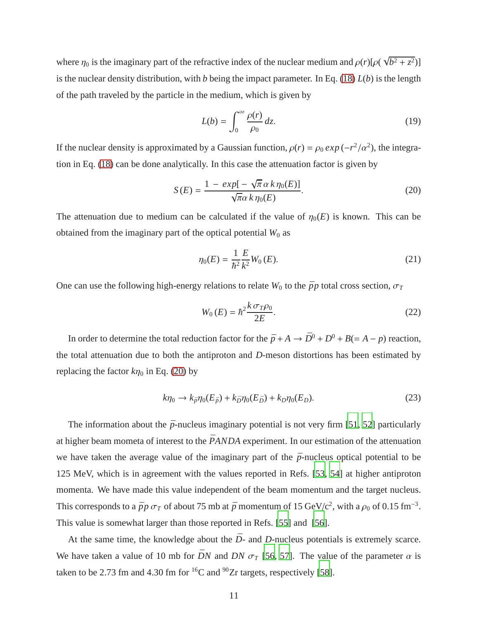where  $\eta_0$  is the imaginary part of the refractive index of the nuclear medium and  $\rho(r)[\rho(\sqrt{b^2 + z^2})]$ is the nuclear density distribution, with *b* being the impact parameter. In Eq. [\(18\)](#page-9-1) *L*(*b*) is the length of the path traveled by the particle in the medium, which is given by

$$
L(b) = \int_0^\infty \frac{\rho(r)}{\rho_0} \, dz. \tag{19}
$$

If the nuclear density is approximated by a Gaussian function,  $\rho(r) = \rho_0 \exp(-r^2/\alpha^2)$ , the integration in Eq. [\(18\)](#page-9-1) can be done analytically. In this case the attenuation factor is given by

<span id="page-10-0"></span>
$$
S(E) = \frac{1 - exp[-\sqrt{\pi} \alpha k \eta_0(E)]}{\sqrt{\pi} \alpha k \eta_0(E)}.
$$
 (20)

The attenuation due to medium can be calculated if the value of  $\eta_0(E)$  is known. This can be obtained from the imaginary part of the optical potential  $W_0$  as

$$
\eta_0(E) = \frac{1}{\hbar^2} \frac{E}{k^2} W_0(E). \tag{21}
$$

One can use the following high-energy relations to relate  $W_0$  to the  $\bar{p}p$  total cross section,  $\sigma_T$ 

$$
W_0(E) = \hbar^2 \frac{k \sigma_T \rho_0}{2E}.
$$
\n<sup>(22)</sup>

In order to determine the total reduction factor for the  $\bar{p} + A \rightarrow \bar{D}^0 + D^0 + B (= A - p)$  reaction, the total attenuation due to both the antiproton and *D*-meson distortions has been estimated by replacing the factor  $k\eta_0$  in Eq. [\(20\)](#page-10-0) by

$$
k\eta_0 \to k_{\bar{p}}\eta_0(E_{\bar{p}}) + k_{\bar{D}}\eta_0(E_{\bar{D}}) + k_D\eta_0(E_D). \tag{23}
$$

The information about the  $\bar{p}$ -nucleus imaginary potential is not very firm [\[51,](#page-21-21) [52\]](#page-21-22) particularly at higher beam mometa of interest to the  $\bar{P}ANDA$  experiment. In our estimation of the attenuation we have taken the average value of the imaginary part of the  $\bar{p}$ -nucleus optical potential to be 125 MeV, which is in agreement with the values reported in Refs. [\[53](#page-21-23), [54](#page-21-24)] at higher antiproton momenta. We have made this value independent of the beam momentum and the target nucleus. This corresponds to a  $\bar{p}p \sigma_T$  of about 75 mb at  $\bar{p}$  momentum of 15 GeV/c<sup>2</sup>, with a  $\rho_0$  of 0.15 fm<sup>-3</sup>. This value is somewhat larger than those reported in Refs. [\[55](#page-21-25)] and [\[56](#page-21-26)].

At the same time, the knowledge about the  $\bar{D}$ - and  $D$ -nucleus potentials is extremely scarce. We have taken a value of 10 mb for  $\bar{D}N$  and  $DN \sigma_T$  [\[56](#page-21-26), [57\]](#page-22-0). The value of the parameter  $\alpha$  is taken to be 2.73 fm and 4.30 fm for  ${}^{16}C$  and  ${}^{90}Zr$  targets, respectively [\[58](#page-22-1)].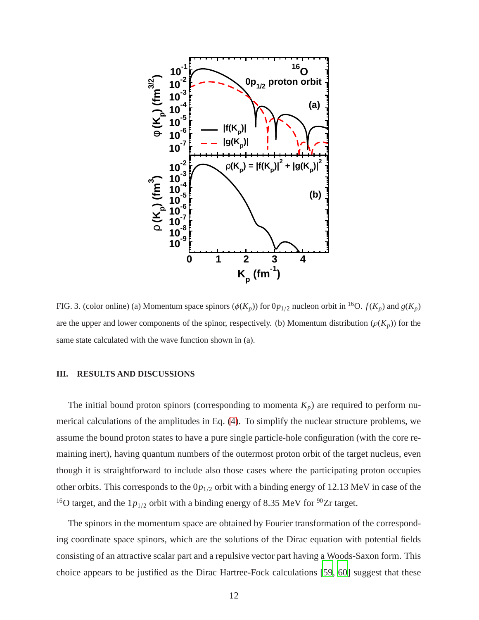

FIG. 3. (color online) (a) Momentum space spinors ( $\phi(K_p)$ ) for  $0p_{1/2}$  nucleon orbit in <sup>16</sup>O.  $f(K_p)$  and  $g(K_p)$ are the upper and lower components of the spinor, respectively. (b) Momentum distribution  $(\rho(K_p))$  for the same state calculated with the wave function shown in (a).

### **III. RESULTS AND DISCUSSIONS**

The initial bound proton spinors (corresponding to momenta  $K_p$ ) are required to perform numerical calculations of the amplitudes in Eq. [\(4\)](#page-4-2). To simplify the nuclear structure problems, we assume the bound proton states to have a pure single particle-hole configuration (with the core remaining inert), having quantum numbers of the outermost proton orbit of the target nucleus, even though it is straightforward to include also those cases where the participating proton occupies other orbits. This corresponds to the 0*p*<sup>1</sup>/<sup>2</sup> orbit with a binding energy of 12.13 MeV in case of the <sup>16</sup>O target, and the  $1p_{1/2}$  orbit with a binding energy of 8.35 MeV for <sup>90</sup>Zr target.

The spinors in the momentum space are obtained by Fourier transformation of the corresponding coordinate space spinors, which are the solutions of the Dirac equation with potential fields consisting of an attractive scalar part and a repulsive vector part having a Woods-Saxon form. This choice appears to be justified as the Dirac Hartree-Fock calculations [\[59](#page-22-2), [60](#page-22-3)] suggest that these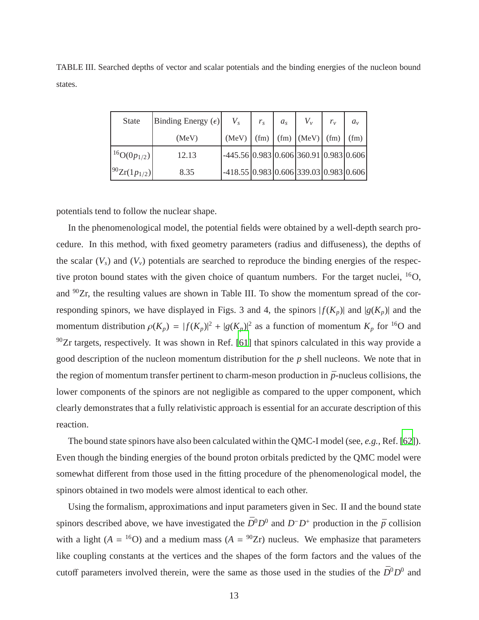| <b>State</b>          | Binding Energy $(\epsilon)$ | $V_{s}$                                                                 | $r_{\rm c}$ | $a_{s}$ | $V_{\nu}$ | $r_{v}$ | $a_{\nu}$ |
|-----------------------|-----------------------------|-------------------------------------------------------------------------|-------------|---------|-----------|---------|-----------|
|                       | (MeV)                       | $(MeV)$ $(\text{fm})$ $(\text{fm})$ $(MeV)$ $(\text{fm})$ $(\text{fm})$ |             |         |           |         |           |
| $1^{16}O(0p_{1/2})$   | 12.13                       | $-445.56[0.983]0.606[360.91]0.983[0.606]$                               |             |         |           |         |           |
| $ ^{90}Zr(1p_{1/2}) $ | 8.35                        | $-418.55[0.983[0.606]339.03[0.983]0.606]$                               |             |         |           |         |           |

TABLE III. Searched depths of vector and scalar potentials and the binding energies of the nucleon bound states.

potentials tend to follow the nuclear shape.

In the phenomenological model, the potential fields were obtained by a well-depth search procedure. In this method, with fixed geometry parameters (radius and diffuseness), the depths of the scalar  $(V_s)$  and  $(V_v)$  potentials are searched to reproduce the binding energies of the respective proton bound states with the given choice of quantum numbers. For the target nuclei, <sup>16</sup>O, and  $^{90}Zr$ , the resulting values are shown in Table III. To show the momentum spread of the corresponding spinors, we have displayed in Figs. 3 and 4, the spinors  $|f(K_n)|$  and  $|g(K_n)|$  and the momentum distribution  $\rho(K_p) = |f(K_p)|^2 + |g(K_p)|^2$  as a function of momentum  $K_p$  for <sup>16</sup>O and  $90Zr$  targets, respectively. It was shown in Ref. [\[61\]](#page-22-4) that spinors calculated in this way provide a good description of the nucleon momentum distribution for the *p* shell nucleons. We note that in the region of momentum transfer pertinent to charm-meson production in  $\bar{p}$ -nucleus collisions, the lower components of the spinors are not negligible as compared to the upper component, which clearly demonstrates that a fully relativistic approach is essential for an accurate description of this reaction.

The bound state spinors have also been calculated within the QMC-I model (see, *e.g.,* Ref. [\[62](#page-22-5)]). Even though the binding energies of the bound proton orbitals predicted by the QMC model were somewhat different from those used in the fitting procedure of the phenomenological model, the spinors obtained in two models were almost identical to each other.

Using the formalism, approximations and input parameters given in Sec. II and the bound state spinors described above, we have investigated the  $\bar{D}^0 D^0$  and  $D^- D^+$  production in the  $\bar{p}$  collision with a light ( $A = {}^{16}O$ ) and a medium mass ( $A = {}^{90}Zr$ ) nucleus. We emphasize that parameters like coupling constants at the vertices and the shapes of the form factors and the values of the cutoff parameters involved therein, were the same as those used in the studies of the  $\bar{D}^0 D^0$  and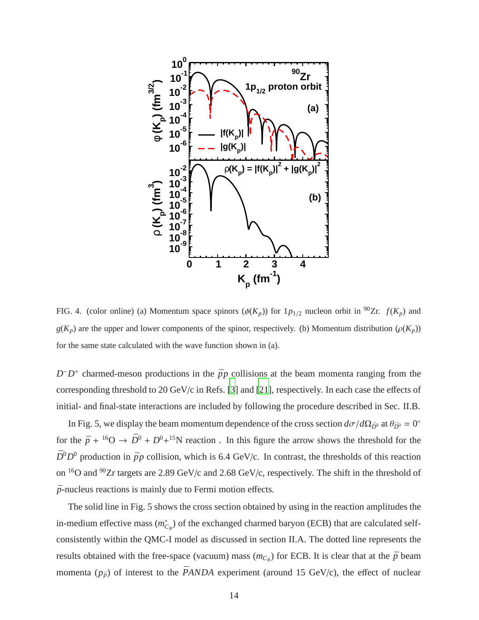

FIG. 4. (color online) (a) Momentum space spinors ( $\phi(K_p)$ ) for  $1p_{1/2}$  nucleon orbit in <sup>90</sup>Zr.  $f(K_p)$  and  $g(K_p)$  are the upper and lower components of the spinor, respectively. (b) Momentum distribution  $(\rho(K_p))$ for the same state calculated with the wave function shown in (a).

 $D^{-}D^{+}$  charmed-meson productions in the  $\bar{p}p$  collisions at the beam momenta ranging from the corresponding threshold to 20 GeV/c in Refs. [\[3\]](#page-20-2) and [\[21](#page-20-13)], respectively. In each case the effects of initial- and final-state interactions are included by following the procedure described in Sec. II.B.

In Fig. 5, we display the beam momentum dependence of the cross section  $d\sigma/d\Omega_{\bar{D}^0}$  at  $\theta_{\bar{D}^0} = 0^\circ$ for the  $\bar{p} + {}^{16}O \rightarrow \bar{D}^0 + D^0 + {}^{15}N$  reaction. In this figure the arrow shows the threshold for the  $\bar{D}^0 D^0$  production in  $\bar{p}p$  collision, which is 6.4 GeV/c. In contrast, the thresholds of this reaction on <sup>16</sup>O and <sup>90</sup>Zr targets are 2.89 GeV/c and 2.68 GeV/c, respectively. The shift in the threshold of  $\bar{p}$ -nucleus reactions is mainly due to Fermi motion effects.

The solid line in Fig. 5 shows the cross section obtained by using in the reaction amplitudes the in-medium effective mass  $(m_{C_B}^*)$  of the exchanged charmed baryon (ECB) that are calculated selfconsistently within the QMC-I model as discussed in section II.A. The dotted line represents the results obtained with the free-space (vacuum) mass  $(m_{C_B})$  for ECB. It is clear that at the  $\bar{p}$  beam momenta  $(p_{\bar{p}})$  of interest to the *PANDA* experiment (around 15 GeV/c), the effect of nuclear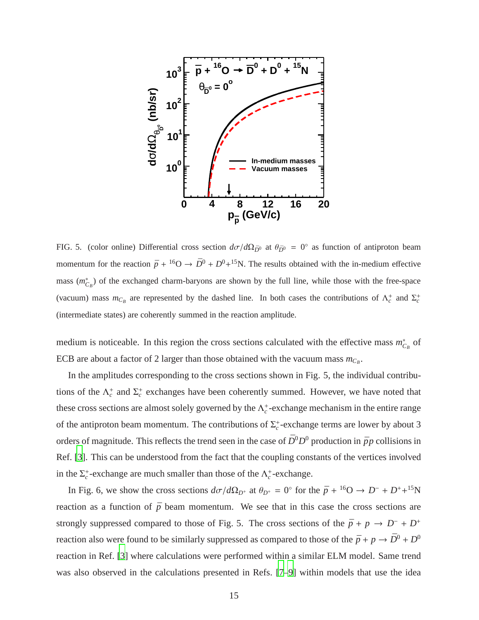

FIG. 5. (color online) Differential cross section  $d\sigma/d\Omega_{\bar{D}^0}$  at  $\theta_{\bar{D}^0} = 0^\circ$  as function of antiproton beam momentum for the reaction  $\bar{p} + {}^{16}O \rightarrow \bar{D}^0 + D^0 + {}^{15}N$ . The results obtained with the in-medium effective mass  $(m_{C_B}^*)$  of the exchanged charm-baryons are shown by the full line, while those with the free-space (vacuum) mass  $m_{C_B}$  are represented by the dashed line. In both cases the contributions of  $\Lambda_c^+$  and  $\Sigma_c^+$ (intermediate states) are coherently summed in the reaction amplitude.

medium is noticeable. In this region the cross sections calculated with the effective mass  $m_{C_B}^*$  of ECB are about a factor of 2 larger than those obtained with the vacuum mass  $m_{C_B}$ .

In the amplitudes corresponding to the cross sections shown in Fig. 5, the individual contributions of the  $\Lambda_c^+$  and  $\Sigma_c^+$  exchanges have been coherently summed. However, we have noted that these cross sections are almost solely governed by the  $\Lambda_c^+$ -exchange mechanism in the entire range of the antiproton beam momentum. The contributions of  $\Sigma_c^+$ -exchange terms are lower by about 3 orders of magnitude. This reflects the trend seen in the case of  $\bar{D}^0 D^0$  production in  $\bar{p}p$  collisions in Ref. [\[3](#page-20-2)]. This can be understood from the fact that the coupling constants of the vertices involved in the  $\Sigma_c^+$ -exchange are much smaller than those of the  $\Lambda_c^+$ -exchange.

In Fig. 6, we show the cross sections  $d\sigma/d\Omega_{D^+}$  at  $\theta_{D^+} = 0^\circ$  for the  $\bar{p} + {}^{16}O \to D^- + D^+ + {}^{15}N$ reaction as a function of  $\bar{p}$  beam momentum. We see that in this case the cross sections are strongly suppressed compared to those of Fig. 5. The cross sections of the  $\bar{p} + p \rightarrow D^- + D^+$ reaction also were found to be similarly suppressed as compared to those of the  $\bar{p} + p \rightarrow \bar{D}^0 + D^0$ reaction in Ref. [\[3\]](#page-20-2) where calculations were performed within a similar ELM model. Same trend was also observed in the calculations presented in Refs. [\[7](#page-20-5)[–9\]](#page-20-19) within models that use the idea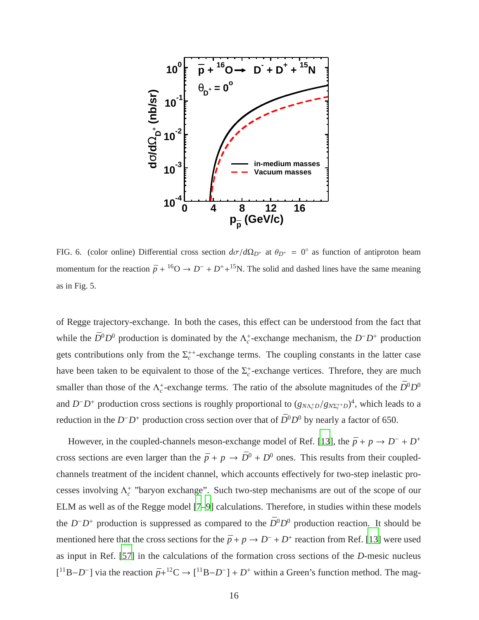

FIG. 6. (color online) Differential cross section  $d\sigma/d\Omega_{D^+}$  at  $\theta_{D^+} = 0^\circ$  as function of antiproton beam momentum for the reaction  $\bar{p} + {}^{16}O \rightarrow D^- + D^+ + {}^{15}N$ . The solid and dashed lines have the same meaning as in Fig. 5.

of Regge trajectory-exchange. In both the cases, this effect can be understood from the fact that while the  $\bar{D}^0 D^0$  production is dominated by the  $\Lambda_c^+$ -exchange mechanism, the  $D^- D^+$  production gets contributions only from the  $\Sigma_c^{++}$ -exchange terms. The coupling constants in the latter case have been taken to be equivalent to those of the  $\Sigma_c^+$ -exchange vertices. Threfore, they are much smaller than those of the  $\Lambda_c^+$ -exchange terms. The ratio of the absolute magnitudes of the  $\bar{D}^0 D^0$ and  $D^-D^+$  production cross sections is roughly proportional to  $(g_{N\Lambda_c^+D}/g_{N\Sigma_c^{++}D})^4$ , which leads to a reduction in the  $D^{-}D^{+}$  production cross section over that of  $\bar{D}^{0}D^{0}$  by nearly a factor of 650.

However, in the coupled-channels meson-exchange model of Ref. [\[13](#page-20-6)], the  $\bar{p} + p \rightarrow D^- + D^+$ cross sections are even larger than the  $\bar{p} + p \rightarrow \bar{D}^0 + D^0$  ones. This results from their coupledchannels treatment of the incident channel, which accounts effectively for two-step inelastic processes involving  $\Lambda_c^+$  "baryon exchange". Such two-step mechanisms are out of the scope of our ELM as well as of the Regge model [\[7](#page-20-5)[–9](#page-20-19)] calculations. Therefore, in studies within these models the  $D^{-}D^{+}$  production is suppressed as compared to the  $\bar{D}^{0}D^{0}$  production reaction. It should be mentioned here that the cross sections for the  $\bar{p} + p \to D^- + D^+$  reaction from Ref. [\[13](#page-20-6)] were used as input in Ref. [\[57](#page-22-0)] in the calculations of the formation cross sections of the *D*-mesic nucleus  $[$ <sup>11</sup>B−*D*<sup>-</sup> ] via the reaction  $\bar{p}+$ <sup>12</sup>C →  $[$ <sup>11</sup>B−*D*<sup>-</sup> ] + *D*<sup>+</sup> within a Green's function method. The mag-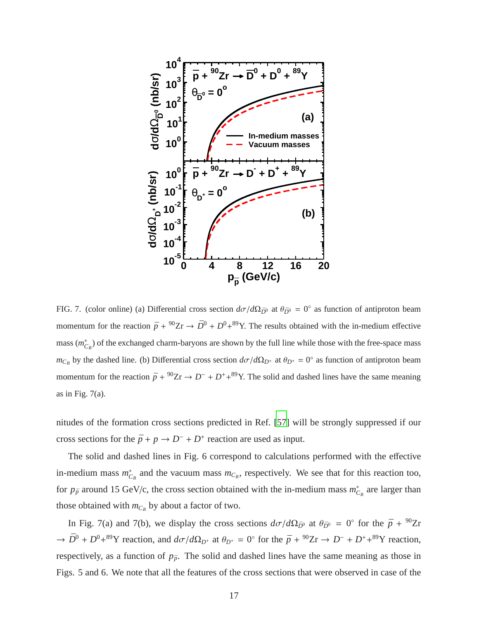

FIG. 7. (color online) (a) Differential cross section  $d\sigma/d\Omega_{\bar{D}^0}$  at  $\theta_{\bar{D}^0} = 0^\circ$  as function of antiproton beam momentum for the reaction  $\bar{p} + {}^{90}Zr \rightarrow \bar{D}^0 + D^0 + {}^{89}Y$ . The results obtained with the in-medium effective mass  $(m_{C_B}^*)$  of the exchanged charm-baryons are shown by the full line while those with the free-space mass  $m_{C_B}$  by the dashed line. (b) Differential cross section  $d\sigma/d\Omega_{D^+}$  at  $\theta_{D^+} = 0^\circ$  as function of antiproton beam momentum for the reaction  $\bar{p} + {}^{90}Zr \rightarrow D^- + D^+ + {}^{89}Y$ . The solid and dashed lines have the same meaning as in Fig. 7(a).

nitudes of the formation cross sections predicted in Ref. [\[57](#page-22-0)] will be strongly suppressed if our cross sections for the  $\bar{p} + p \rightarrow D^- + D^+$  reaction are used as input.

The solid and dashed lines in Fig. 6 correspond to calculations performed with the effective in-medium mass  $m_{C_B}^*$  and the vacuum mass  $m_{C_B}$ , respectively. We see that for this reaction too, for  $p_{\bar{p}}$  around 15 GeV/c, the cross section obtained with the in-medium mass  $m_{C_B}^*$  are larger than those obtained with  $m_{C_B}$  by about a factor of two.

In Fig. 7(a) and 7(b), we display the cross sections  $d\sigma/d\Omega_{\bar{D}^0}$  at  $\theta_{\bar{D}^0} = 0^{\circ}$  for the  $\bar{p} + {}^{90}Zr$  $\rightarrow \bar{D}^0 + D^0 + {}^{89}Y$  reaction, and  $d\sigma/d\Omega_{D^+}$  at  $\theta_{D^+} = 0^\circ$  for the  $\bar{p} + {}^{90}Zr \rightarrow D^- + D^+ + {}^{89}Y$  reaction, respectively, as a function of  $p_{\bar{p}}$ . The solid and dashed lines have the same meaning as those in Figs. 5 and 6. We note that all the features of the cross sections that were observed in case of the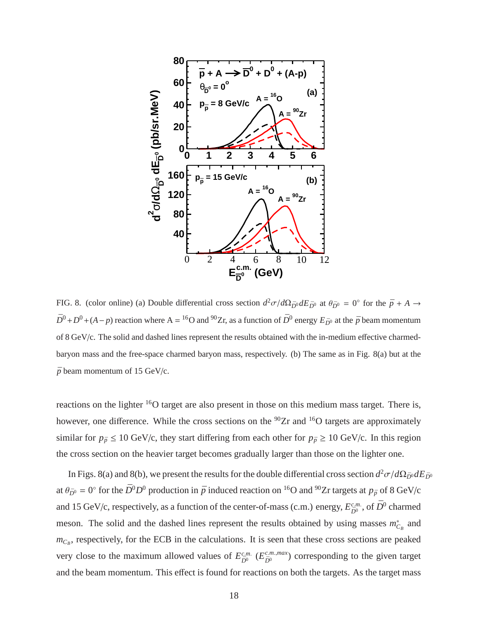

FIG. 8. (color online) (a) Double differential cross section  $d^2\sigma/d\Omega_{\bar{D}^0}dE_{\bar{D}^0}$  at  $\theta_{\bar{D}^0}=0^\circ$  for the  $\bar{p}+A\to\theta$  $\bar{D}^0 + D^0 + (A - p)$  reaction where A = <sup>16</sup>O and <sup>90</sup>Zr, as a function of  $\bar{D}^0$  energy  $E_{\bar{D}^0}$  at the  $\bar{p}$  beam momentum of 8 GeV/c. The solid and dashed lines represent the results obtained with the in-medium effective charmedbaryon mass and the free-space charmed baryon mass, respectively. (b) The same as in Fig. 8(a) but at the  $\bar{p}$  beam momentum of 15 GeV/c.

reactions on the lighter <sup>16</sup>O target are also present in those on this medium mass target. There is, however, one difference. While the cross sections on the <sup>90</sup>Zr and <sup>16</sup>O targets are approximately similar for  $p_{\bar{p}} \le 10$  GeV/c, they start differing from each other for  $p_{\bar{p}} \ge 10$  GeV/c. In this region the cross section on the heavier target becomes gradually larger than those on the lighter one.

In Figs. 8(a) and 8(b), we present the results for the double differential cross section  $d^2\sigma/d\Omega_{\bar{D}^0}dE_{\bar{D}^0}$ at  $\theta_{\bar{D}^0} = 0^\circ$  for the  $\bar{D}^0 D^0$  production in  $\bar{p}$  induced reaction on <sup>16</sup>O and <sup>90</sup>Zr targets at  $p_{\bar{p}}$  of 8 GeV/c and 15 GeV/c, respectively, as a function of the center-of-mass (c.m.) energy,  $E_{\bar{D}^0}^{c.m.}$ , of  $\bar{D}^0$  charmed meson. The solid and the dashed lines represent the results obtained by using masses  $m_{C_B}^*$  and  $m_{C_B}$ , respectively, for the ECB in the calculations. It is seen that these cross sections are peaked very close to the maximum allowed values of  $E_{\bar{D}^0}^{c.m.}$  ( $E_{\bar{D}^0}^{c.m., max}$ )  $\sum_{\bar{D}^0}^{c.m.,max}$ ) corresponding to the given target and the beam momentum. This effect is found for reactions on both the targets. As the target mass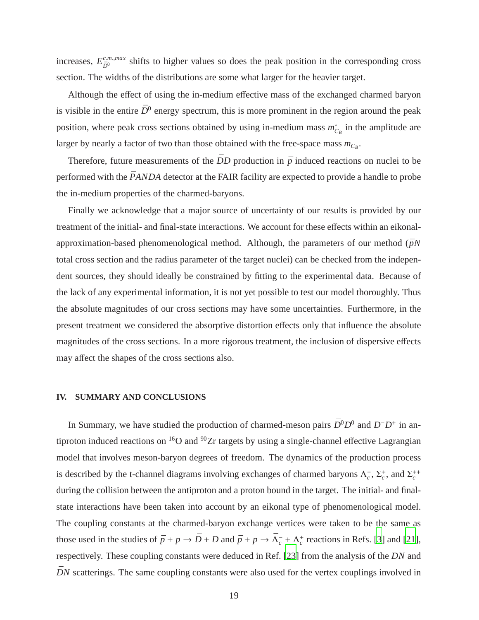increases,  $E_{\bar{p}_0}^{c.m.,max}$  $\bar{D}^{m,max}$  shifts to higher values so does the peak position in the corresponding cross section. The widths of the distributions are some what larger for the heavier target.

Although the effect of using the in-medium effective mass of the exchanged charmed baryon is visible in the entire  $\bar{D}^0$  energy spectrum, this is more prominent in the region around the peak position, where peak cross sections obtained by using in-medium mass  $m_{C_B}^*$  in the amplitude are larger by nearly a factor of two than those obtained with the free-space mass  $m_{C_B}$ .

Therefore, future measurements of the  $\bar{D}D$  production in  $\bar{p}$  induced reactions on nuclei to be performed with the *PANDA* detector at the FAIR facility are expected to provide a handle to probe the in-medium properties of the charmed-baryons.

Finally we acknowledge that a major source of uncertainty of our results is provided by our treatment of the initial- and final-state interactions. We account for these effects within an eikonalapproximation-based phenomenological method. Although, the parameters of our method  $(\bar{p}N)$ total cross section and the radius parameter of the target nuclei) can be checked from the independent sources, they should ideally be constrained by fitting to the experimental data. Because of the lack of any experimental information, it is not yet possible to test our model thoroughly. Thus the absolute magnitudes of our cross sections may have some uncertainties. Furthermore, in the present treatment we considered the absorptive distortion effects only that influence the absolute magnitudes of the cross sections. In a more rigorous treatment, the inclusion of dispersive effects may affect the shapes of the cross sections also.

#### **IV. SUMMARY AND CONCLUSIONS**

In Summary, we have studied the production of charmed-meson pairs  $\bar{D}^0 D^0$  and  $D^- D^+$  in antiproton induced reactions on  ${}^{16}O$  and  ${}^{90}Zr$  targets by using a single-channel effective Lagrangian model that involves meson-baryon degrees of freedom. The dynamics of the production process is described by the t-channel diagrams involving exchanges of charmed baryons  $\Lambda_c^+$ ,  $\Sigma_c^+$ , and  $\Sigma_c^{++}$ during the collision between the antiproton and a proton bound in the target. The initial- and finalstate interactions have been taken into account by an eikonal type of phenomenological model. The coupling constants at the charmed-baryon exchange vertices were taken to be the same as those used in the studies of  $\bar{p} + p \to \bar{D} + D$  and  $\bar{p} + p \to \bar{\Lambda}_{c}^{-} + \Lambda_{c}^{+}$  reactions in Refs. [\[3](#page-20-2)] and [\[21](#page-20-13)], respectively. These coupling constants were deduced in Ref. [\[23](#page-20-17)] from the analysis of the *DN* and  $\bar{D}N$  scatterings. The same coupling constants were also used for the vertex couplings involved in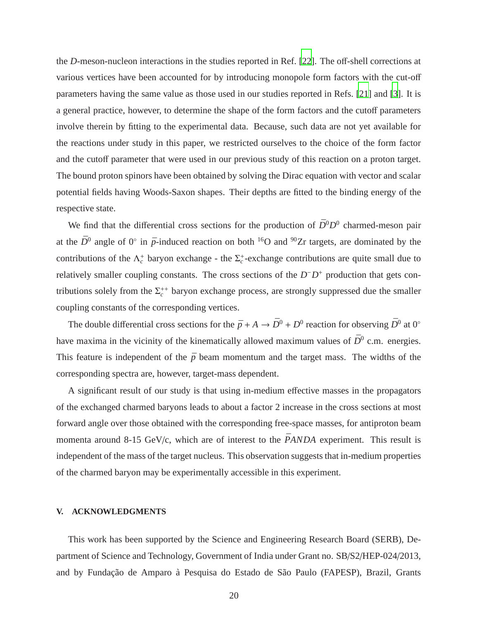the *D*-meson-nucleon interactions in the studies reported in Ref. [\[22](#page-20-16)]. The off-shell corrections at various vertices have been accounted for by introducing monopole form factors with the cut-off parameters having the same value as those used in our studies reported in Refs. [\[21](#page-20-13)] and [\[3\]](#page-20-2). It is a general practice, however, to determine the shape of the form factors and the cutoff parameters involve therein by fitting to the experimental data. Because, such data are not yet available for the reactions under study in this paper, we restricted ourselves to the choice of the form factor and the cutoff parameter that were used in our previous study of this reaction on a proton target. The bound proton spinors have been obtained by solving the Dirac equation with vector and scalar potential fields having Woods-Saxon shapes. Their depths are fitted to the binding energy of the respective state.

We find that the differential cross sections for the production of  $\bar{D}^0 D^0$  charmed-meson pair at the  $\bar{D}^0$  angle of 0° in  $\bar{p}$ -induced reaction on both <sup>16</sup>O and <sup>90</sup>Zr targets, are dominated by the contributions of the  $\Lambda_c^+$  baryon exchange - the  $\Sigma_c^+$ -exchange contributions are quite small due to relatively smaller coupling constants. The cross sections of the  $D<sup>−</sup>D<sup>+</sup>$  production that gets contributions solely from the  $\Sigma_c^{++}$  baryon exchange process, are strongly suppressed due the smaller coupling constants of the corresponding vertices.

The double differential cross sections for the  $\bar{p} + A \to \bar{D}^0 + D^0$  reaction for observing  $\bar{D}^0$  at  $0^{\circ}$ have maxima in the vicinity of the kinematically allowed maximum values of  $\bar{D}^0$  c.m. energies. This feature is independent of the  $\bar{p}$  beam momentum and the target mass. The widths of the corresponding spectra are, however, target-mass dependent.

A significant result of our study is that using in-medium effective masses in the propagators of the exchanged charmed baryons leads to about a factor 2 increase in the cross sections at most forward angle over those obtained with the corresponding free-space masses, for antiproton beam momenta around 8-15 GeV/c, which are of interest to the  $\bar{P}ANDA$  experiment. This result is independent of the mass of the target nucleus. This observation suggests that in-medium properties of the charmed baryon may be experimentally accessible in this experiment.

#### **V. ACKNOWLEDGMENTS**

This work has been supported by the Science and Engineering Research Board (SERB), Department of Science and Technology, Government of India under Grant no. SB/S2/HEP-024/2013, and by Fundação de Amparo à Pesquisa do Estado de São Paulo (FAPESP), Brazil, Grants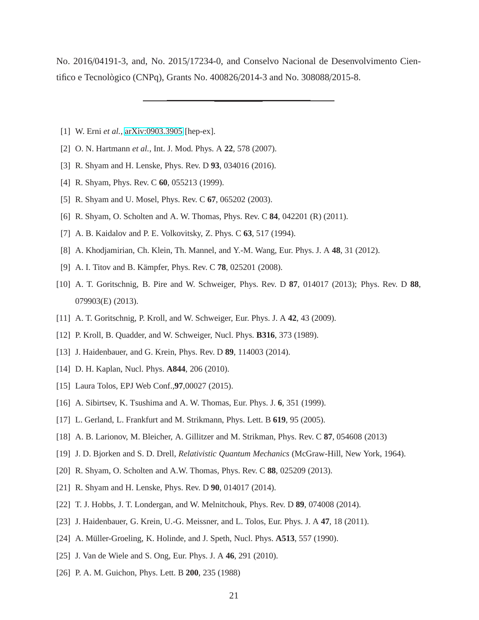No. 2016/04191-3, and, No. 2015/17234-0, and Conselvo Nacional de Desenvolvimento Cientifico e Tecnològico (CNPq), Grants No. 400826/2014-3 and No. 308088/2015-8.

- <span id="page-20-1"></span><span id="page-20-0"></span>[1] W. Erni *et al.*, [arXiv:0903.3905](http://arxiv.org/abs/0903.3905) [hep-ex].
- <span id="page-20-2"></span>[2] O. N. Hartmann *et al.*, Int. J. Mod. Phys. A **22**, 578 (2007).
- [3] R. Shyam and H. Lenske, Phys. Rev. D **93**, 034016 (2016).
- <span id="page-20-18"></span><span id="page-20-3"></span>[4] R. Shyam, Phys. Rev. C **60**, 055213 (1999).
- [5] R. Shyam and U. Mosel, Phys. Rev. C **67**, 065202 (2003).
- <span id="page-20-4"></span>[6] R. Shyam, O. Scholten and A. W. Thomas, Phys. Rev. C **84**, 042201 (R) (2011).
- <span id="page-20-5"></span>[7] A. B. Kaidalov and P. E. Volkovitsky, Z. Phys. C **63**, 517 (1994).
- [8] A. Khodjamirian, Ch. Klein, Th. Mannel, and Y.-M. Wang, Eur. Phys. J. A **48**, 31 (2012).
- <span id="page-20-19"></span>[9] A. I. Titov and B. Kämpfer, Phys. Rev. C **78**, 025201 (2008).
- [10] A. T. Goritschnig, B. Pire and W. Schweiger, Phys. Rev. D **87**, 014017 (2013); Phys. Rev. D **88**, 079903(E) (2013).
- [11] A. T. Goritschnig, P. Kroll, and W. Schweiger, Eur. Phys. J. A **42**, 43 (2009).
- [12] P. Kroll, B. Quadder, and W. Schweiger, Nucl. Phys. **B316**, 373 (1989).
- <span id="page-20-6"></span>[13] J. Haidenbauer, and G. Krein, Phys. Rev. D **89**, 114003 (2014).
- <span id="page-20-7"></span>[14] D. H. Kaplan, Nucl. Phys. **A844**, 206 (2010).
- <span id="page-20-8"></span>[15] Laura Tolos, EPJ Web Conf.,**97**,00027 (2015).
- <span id="page-20-9"></span>[16] A. Sibirtsev, K. Tsushima and A. W. Thomas, Eur. Phys. J. **6**, 351 (1999).
- [17] L. Gerland, L. Frankfurt and M. Strikmann, Phys. Lett. B **619**, 95 (2005).
- <span id="page-20-10"></span>[18] A. B. Larionov, M. Bleicher, A. Gillitzer and M. Strikman, Phys. Rev. C **87**, 054608 (2013)
- <span id="page-20-11"></span>[19] J. D. Bjorken and S. D. Drell, *Relativistic Quantum Mechanics* (McGraw-Hill, New York, 1964).
- <span id="page-20-12"></span>[20] R. Shyam, O. Scholten and A.W. Thomas, Phys. Rev. C **88**, 025209 (2013).
- <span id="page-20-13"></span>[21] R. Shyam and H. Lenske, Phys. Rev. D **90**, 014017 (2014).
- <span id="page-20-16"></span>[22] T. J. Hobbs, J. T. Londergan, and W. Melnitchouk, Phys. Rev. D **89**, 074008 (2014).
- <span id="page-20-17"></span>[23] J. Haidenbauer, G. Krein, U.-G. Meissner, and L. Tolos, Eur. Phys. J. A **47**, 18 (2011).
- [24] A. Müller-Groeling, K. Holinde, and J. Speth, Nucl. Phys. **A513**, 557 (1990).
- <span id="page-20-14"></span>[25] J. Van de Wiele and S. Ong, Eur. Phys. J. A **46**, 291 (2010).
- <span id="page-20-15"></span>[26] P. A. M. Guichon, Phys. Lett. B **200**, 235 (1988)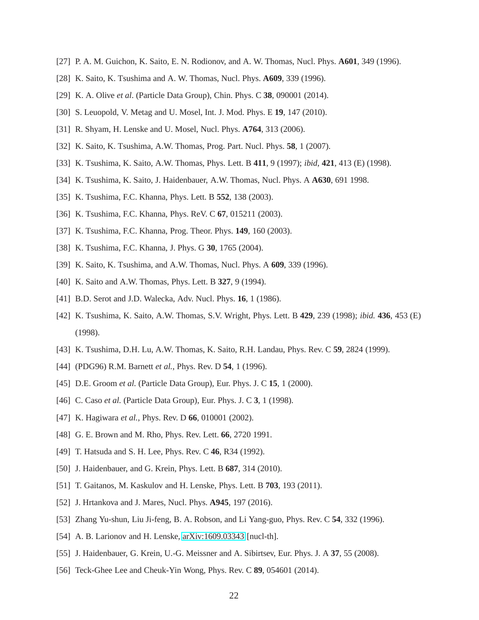- <span id="page-21-1"></span><span id="page-21-0"></span>[27] P. A. M. Guichon, K. Saito, E. N. Rodionov, and A. W. Thomas, Nucl. Phys. **A601**, 349 (1996).
- <span id="page-21-2"></span>[28] K. Saito, K. Tsushima and A. W. Thomas, Nucl. Phys. **A609**, 339 (1996).
- <span id="page-21-3"></span>[29] K. A. Olive *et al*. (Particle Data Group), Chin. Phys. C **38**, 090001 (2014).
- <span id="page-21-4"></span>[30] S. Leuopold, V. Metag and U. Mosel, Int. J. Mod. Phys. E **19**, 147 (2010).
- <span id="page-21-5"></span>[31] R. Shyam, H. Lenske and U. Mosel, Nucl. Phys. **A764**, 313 (2006).
- <span id="page-21-7"></span>[32] K. Saito, K. Tsushima, A.W. Thomas, Prog. Part. Nucl. Phys. **58**, 1 (2007).
- <span id="page-21-8"></span>[33] K. Tsushima, K. Saito, A.W. Thomas, Phys. Lett. B **411**, 9 (1997); *ibid*, **421**, 413 (E) (1998).
- <span id="page-21-16"></span>[34] K. Tsushima, K. Saito, J. Haidenbauer, A.W. Thomas, Nucl. Phys. A **A630**, 691 1998.
- [35] K. Tsushima, F.C. Khanna, Phys. Lett. B **552**, 138 (2003).
- [36] K. Tsushima, F.C. Khanna, Phys. ReV. C **67**, 015211 (2003).
- <span id="page-21-6"></span>[37] K. Tsushima, F.C. Khanna, Prog. Theor. Phys. **149**, 160 (2003).
- <span id="page-21-9"></span>[38] K. Tsushima, F.C. Khanna, J. Phys. G **30**, 1765 (2004).
- [39] K. Saito, K. Tsushima, and A.W. Thomas, Nucl. Phys. A **609**, 339 (1996).
- <span id="page-21-10"></span>[40] K. Saito and A.W. Thomas, Phys. Lett. B **327**, 9 (1994).
- <span id="page-21-11"></span>[41] B.D. Serot and J.D. Walecka, Adv. Nucl. Phys. **16**, 1 (1986).
- <span id="page-21-12"></span>[42] K. Tsushima, K. Saito, A.W. Thomas, S.V. Wright, Phys. Lett. B **429**, 239 (1998); *ibid.* **436**, 453 (E) (1998).
- <span id="page-21-13"></span>[43] K. Tsushima, D.H. Lu, A.W. Thomas, K. Saito, R.H. Landau, Phys. Rev. C **59**, 2824 (1999).
- <span id="page-21-14"></span>[44] (PDG96) R.M. Barnett *et al.*, Phys. Rev. D **54**, 1 (1996).
- <span id="page-21-15"></span>[45] D.E. Groom *et al.* (Particle Data Group), Eur. Phys. J. C **15**, 1 (2000).
- [46] C. Caso *et al.* (Particle Data Group), Eur. Phys. J. C **3**, 1 (1998).
- <span id="page-21-17"></span>[47] K. Hagiwara *et al.*, Phys. Rev. D **66**, 010001 (2002).
- <span id="page-21-18"></span>[48] G. E. Brown and M. Rho, Phys. Rev. Lett. **66**, 2720 1991.
- <span id="page-21-19"></span>[49] T. Hatsuda and S. H. Lee, Phys. Rev. C **46**, R34 (1992).
- <span id="page-21-20"></span>[50] J. Haidenbauer, and G. Krein, Phys. Lett. B **687**, 314 (2010).
- <span id="page-21-21"></span>[51] T. Gaitanos, M. Kaskulov and H. Lenske, Phys. Lett. B **703**, 193 (2011).
- <span id="page-21-22"></span>[52] J. Hrtankova and J. Mares, Nucl. Phys. **A945**, 197 (2016).
- <span id="page-21-23"></span>[53] Zhang Yu-shun, Liu Ji-feng, B. A. Robson, and Li Yang-guo, Phys. Rev. C **54**, 332 (1996).
- <span id="page-21-24"></span>[54] A. B. Larionov and H. Lenske, [arXiv:1609.03343](http://arxiv.org/abs/1609.03343) [nucl-th].
- <span id="page-21-25"></span>[55] J. Haidenbauer, G. Krein, U.-G. Meissner and A. Sibirtsev, Eur. Phys. J. A **37**, 55 (2008).
- <span id="page-21-26"></span>[56] Teck-Ghee Lee and Cheuk-Yin Wong, Phys. Rev. C **89**, 054601 (2014).